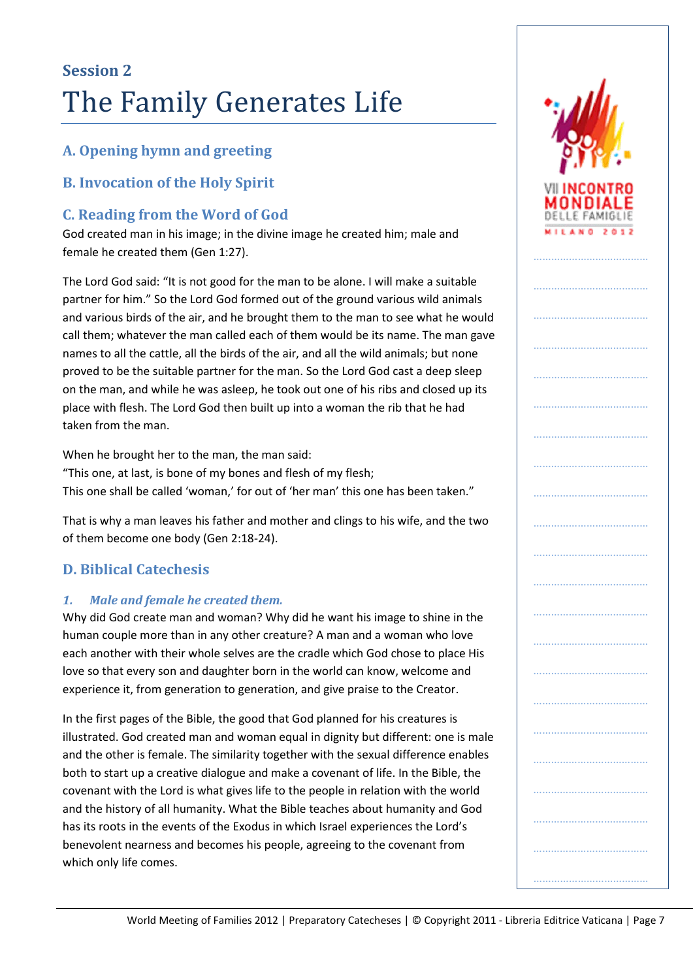## **A. Opening hymn and greeting**

### **B. Invocation of the Holy Spirit**

### **C. Reading from the Word of God**

God created man in his image; in the divine image he created him; male and female he created them (Gen 1:27).

The Lord God said: "It is not good for the man to be alone. I will make a suitable partner for him." So the Lord God formed out of the ground various wild animals and various birds of the air, and he brought them to the man to see what he would call them; whatever the man called each of them would be its name. The man gave names to all the cattle, all the birds of the air, and all the wild animals; but none proved to be the suitable partner for the man. So the Lord God cast a deep sleep on the man, and while he was asleep, he took out one of his ribs and closed up its place with flesh. The Lord God then built up into a woman the rib that he had taken from the man.

When he brought her to the man, the man said: "This one, at last, is bone of my bones and flesh of my flesh; This one shall be called 'woman,' for out of 'her man' this one has been taken."

That is why a man leaves his father and mother and clings to his wife, and the two of them become one body (Gen 2:18-24).

### **D. Biblical Catechesis**

### *1. Male and female he created them.*

Why did God create man and woman? Why did he want his image to shine in the human couple more than in any other creature? A man and a woman who love each another with their whole selves are the cradle which God chose to place His love so that every son and daughter born in the world can know, welcome and experience it, from generation to generation, and give praise to the Creator.

In the first pages of the Bible, the good that God planned for his creatures is illustrated. God created man and woman equal in dignity but different: one is male and the other is female. The similarity together with the sexual difference enables both to start up a creative dialogue and make a covenant of life. In the Bible, the covenant with the Lord is what gives life to the people in relation with the world and the history of all humanity. What the Bible teaches about humanity and God has its roots in the events of the Exodus in which Israel experiences the Lord's benevolent nearness and becomes his people, agreeing to the covenant from which only life comes.



…………………………………

…………………………………

……………………………………………

…………………………………

…………………………………

…………………………………

…………………………………

…………………………………

…………………………………

……………………………………………

…………………………………

……………………………………………

…………………………………

……………………………………………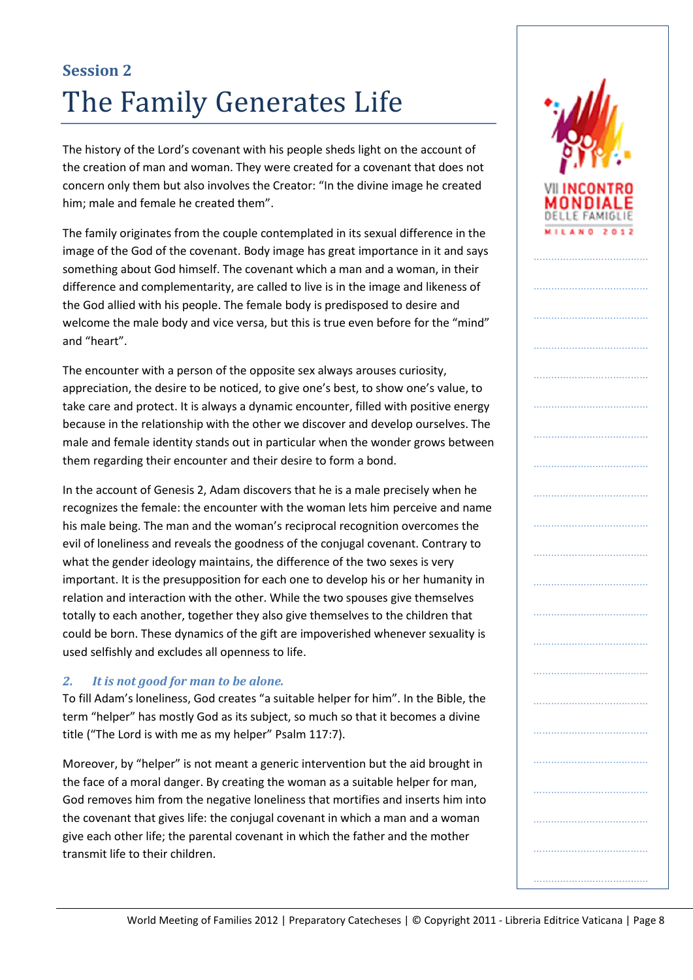The history of the Lord's covenant with his people sheds light on the account of the creation of man and woman. They were created for a covenant that does not concern only them but also involves the Creator: "In the divine image he created him; male and female he created them".

The family originates from the couple contemplated in its sexual difference in the image of the God of the covenant. Body image has great importance in it and says something about God himself. The covenant which a man and a woman, in their difference and complementarity, are called to live is in the image and likeness of the God allied with his people. The female body is predisposed to desire and welcome the male body and vice versa, but this is true even before for the "mind" and "heart".

The encounter with a person of the opposite sex always arouses curiosity, appreciation, the desire to be noticed, to give one's best, to show one's value, to take care and protect. It is always a dynamic encounter, filled with positive energy because in the relationship with the other we discover and develop ourselves. The male and female identity stands out in particular when the wonder grows between them regarding their encounter and their desire to form a bond.

In the account of Genesis 2, Adam discovers that he is a male precisely when he recognizes the female: the encounter with the woman lets him perceive and name his male being. The man and the woman's reciprocal recognition overcomes the evil of loneliness and reveals the goodness of the conjugal covenant. Contrary to what the gender ideology maintains, the difference of the two sexes is very important. It is the presupposition for each one to develop his or her humanity in relation and interaction with the other. While the two spouses give themselves totally to each another, together they also give themselves to the children that could be born. These dynamics of the gift are impoverished whenever sexuality is used selfishly and excludes all openness to life.

### *2. It is not good for man to be alone.*

To fill Adam's loneliness, God creates "a suitable helper for him". In the Bible, the term "helper" has mostly God as its subject, so much so that it becomes a divine title ("The Lord is with me as my helper" Psalm 117:7).

Moreover, by "helper" is not meant a generic intervention but the aid brought in the face of a moral danger. By creating the woman as a suitable helper for man, God removes him from the negative loneliness that mortifies and inserts him into the covenant that gives life: the conjugal covenant in which a man and a woman give each other life; the parental covenant in which the father and the mother transmit life to their children.

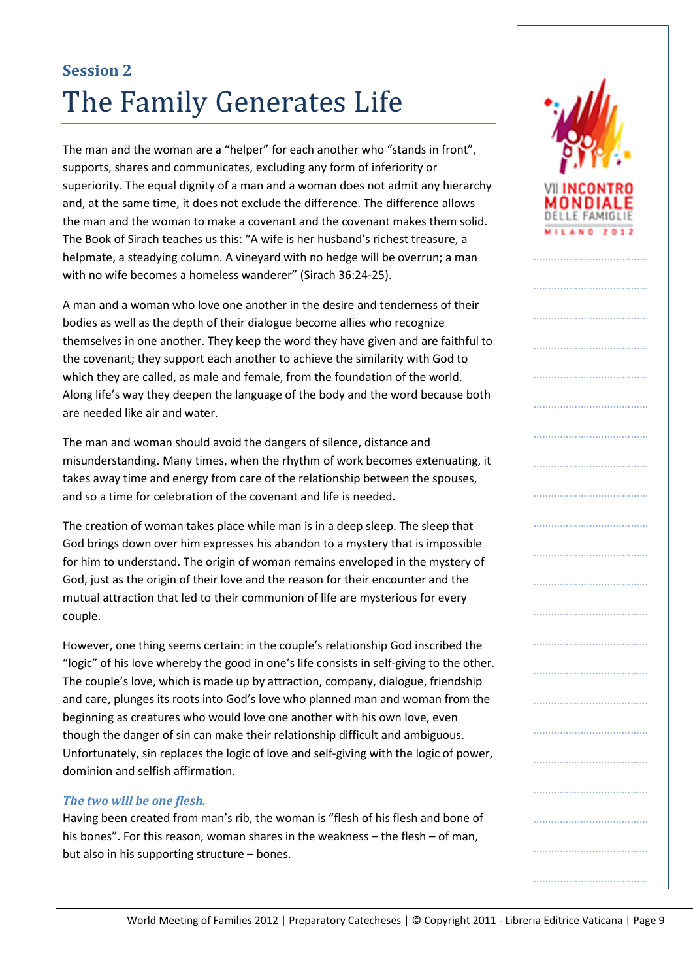The man and the woman are a "helper" for each another who "stands in front", supports, shares and communicates, excluding any form of inferiority or superiority. The equal dignity of a man and a woman does not admit any hierarchy and, at the same time, it does not exclude the difference. The difference allows the man and the woman to make a covenant and the covenant makes them solid. The Book of Sirach teaches us this: "A wife is her husband's richest treasure, a helpmate, a steadying column. A vineyard with no hedge will be overrun; a man with no wife becomes a homeless wanderer" (Sirach 36:24-25).

A man and a woman who love one another in the desire and tenderness of their bodies as well as the depth of their dialogue become allies who recognize themselves in one another. They keep the word they have given and are faithful to the covenant; they support each another to achieve the similarity with God to which they are called, as male and female, from the foundation of the world. Along life's way they deepen the language of the body and the word because both are needed like air and water.

The man and woman should avoid the dangers of silence, distance and misunderstanding. Many times, when the rhythm of work becomes extenuating, it takes away time and energy from care of the relationship between the spouses, and so a time for celebration of the covenant and life is needed.

The creation of woman takes place while man is in a deep sleep. The sleep that God brings down over him expresses his abandon to a mystery that is impossible for him to understand. The origin of woman remains enveloped in the mystery of God, just as the origin of their love and the reason for their encounter and the mutual attraction that led to their communion of life are mysterious for every couple.

However, one thing seems certain: in the couple's relationship God inscribed the "logic" of his love whereby the good in one's life consists in self-giving to the other. The couple's love, which is made up by attraction, company, dialogue, friendship and care, plunges its roots into God's love who planned man and woman from the beginning as creatures who would love one another with his own love, even though the danger of sin can make their relationship difficult and ambiguous. Unfortunately, sin replaces the logic of love and self-giving with the logic of power, dominion and selfish affirmation.

### *The two will be one flesh.*

Having been created from man's rib, the woman is "flesh of his flesh and bone of his bones". For this reason, woman shares in the weakness – the flesh – of man, but also in his supporting structure – bones.

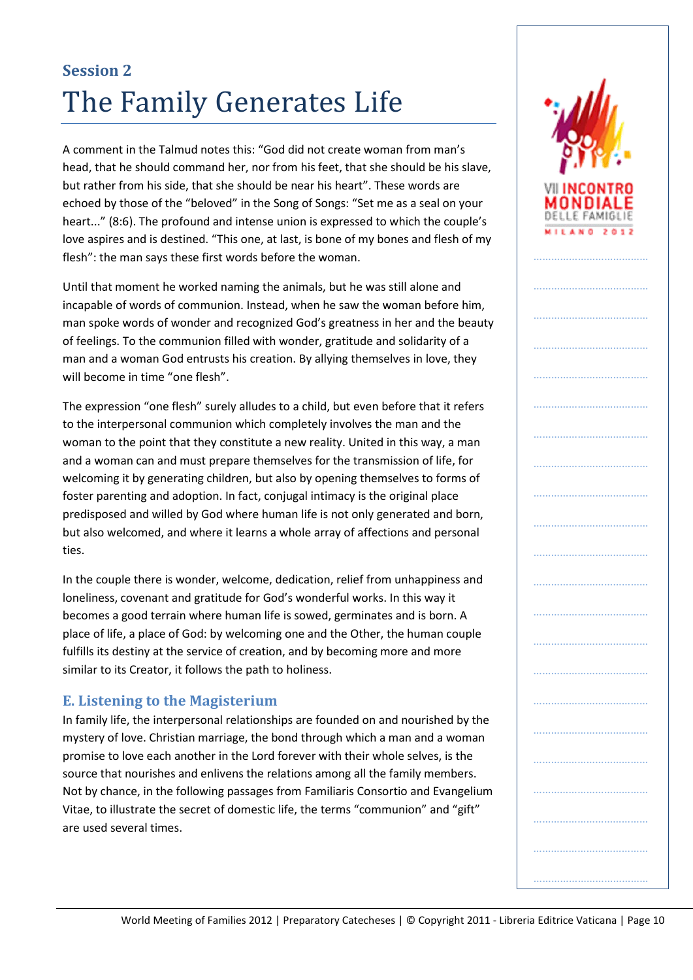A comment in the Talmud notes this: "God did not create woman from man's head, that he should command her, nor from his feet, that she should be his slave, but rather from his side, that she should be near his heart". These words are echoed by those of the "beloved" in the Song of Songs: "Set me as a seal on your heart..." (8:6). The profound and intense union is expressed to which the couple's love aspires and is destined. "This one, at last, is bone of my bones and flesh of my flesh": the man says these first words before the woman.

Until that moment he worked naming the animals, but he was still alone and incapable of words of communion. Instead, when he saw the woman before him, man spoke words of wonder and recognized God's greatness in her and the beauty of feelings. To the communion filled with wonder, gratitude and solidarity of a man and a woman God entrusts his creation. By allying themselves in love, they will become in time "one flesh".

The expression "one flesh" surely alludes to a child, but even before that it refers to the interpersonal communion which completely involves the man and the woman to the point that they constitute a new reality. United in this way, a man and a woman can and must prepare themselves for the transmission of life, for welcoming it by generating children, but also by opening themselves to forms of foster parenting and adoption. In fact, conjugal intimacy is the original place predisposed and willed by God where human life is not only generated and born, but also welcomed, and where it learns a whole array of affections and personal ties.

In the couple there is wonder, welcome, dedication, relief from unhappiness and loneliness, covenant and gratitude for God's wonderful works. In this way it becomes a good terrain where human life is sowed, germinates and is born. A place of life, a place of God: by welcoming one and the Other, the human couple fulfills its destiny at the service of creation, and by becoming more and more similar to its Creator, it follows the path to holiness.

## **E. Listening to the Magisterium**

In family life, the interpersonal relationships are founded on and nourished by the mystery of love. Christian marriage, the bond through which a man and a woman promise to love each another in the Lord forever with their whole selves, is the source that nourishes and enlivens the relations among all the family members. Not by chance, in the following passages from Familiaris Consortio and Evangelium Vitae, to illustrate the secret of domestic life, the terms "communion" and "gift" are used several times.

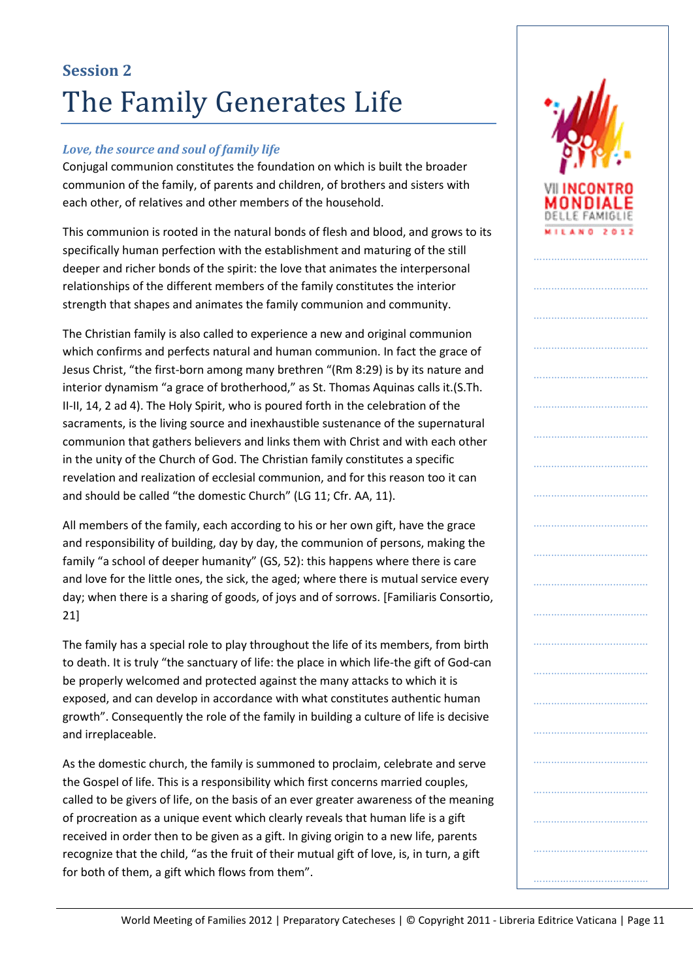### *Love, the source and soul of family life*

Conjugal communion constitutes the foundation on which is built the broader communion of the family, of parents and children, of brothers and sisters with each other, of relatives and other members of the household.

This communion is rooted in the natural bonds of flesh and blood, and grows to its specifically human perfection with the establishment and maturing of the still deeper and richer bonds of the spirit: the love that animates the interpersonal relationships of the different members of the family constitutes the interior strength that shapes and animates the family communion and community.

The Christian family is also called to experience a new and original communion which confirms and perfects natural and human communion. In fact the grace of Jesus Christ, "the first-born among many brethren "(Rm 8:29) is by its nature and interior dynamism "a grace of brotherhood," as St. Thomas Aquinas calls it.(S.Th. II-II, 14, 2 ad 4). The Holy Spirit, who is poured forth in the celebration of the sacraments, is the living source and inexhaustible sustenance of the supernatural communion that gathers believers and links them with Christ and with each other in the unity of the Church of God. The Christian family constitutes a specific revelation and realization of ecclesial communion, and for this reason too it can and should be called "the domestic Church" (LG 11; Cfr. AA, 11).

All members of the family, each according to his or her own gift, have the grace and responsibility of building, day by day, the communion of persons, making the family "a school of deeper humanity" (GS, 52): this happens where there is care and love for the little ones, the sick, the aged; where there is mutual service every day; when there is a sharing of goods, of joys and of sorrows. [Familiaris Consortio, 21]

The family has a special role to play throughout the life of its members, from birth to death. It is truly "the sanctuary of life: the place in which life-the gift of God-can be properly welcomed and protected against the many attacks to which it is exposed, and can develop in accordance with what constitutes authentic human growth". Consequently the role of the family in building a culture of life is decisive and irreplaceable.

As the domestic church, the family is summoned to proclaim, celebrate and serve the Gospel of life. This is a responsibility which first concerns married couples, called to be givers of life, on the basis of an ever greater awareness of the meaning of procreation as a unique event which clearly reveals that human life is a gift received in order then to be given as a gift. In giving origin to a new life, parents recognize that the child, "as the fruit of their mutual gift of love, is, in turn, a gift for both of them, a gift which flows from them".



| .,<br> |
|--------|
|        |
|        |
|        |